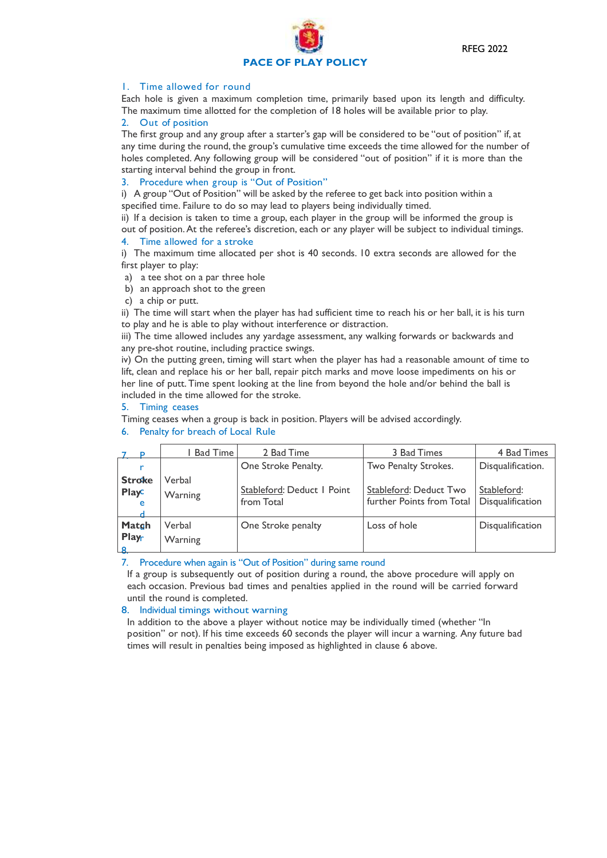

## 1. Time allowed for round

Each hole is given a maximum completion time, primarily based upon its length and difficulty. The maximum time allotted for the completion of 18 holes will be available prior to play.

## 2. Out of position

The first group and any group after a starter's gap will be considered to be "out of position" if, at any time during the round, the group's cumulative time exceeds the time allowed for the number of holes completed. Any following group will be considered "out of position" if it is more than the starting interval behind the group in front.

### 3. Procedure when group is "Out of Position"

i) A group "Out of Position" will be asked by the referee to get back into position within a specified time. Failure to do so may lead to players being individually timed.

ii) If a decision is taken to time a group, each player in the group will be informed the group is out of position.At the referee's discretion, each or any player will be subject to individual timings. 4. Time allowed for a stroke

i) The maximum time allocated per shot is 40 seconds. 10 extra seconds are allowed for the first player to play:

- a) a tee shot on a par three hole
- b) an approach shot to the green
- c) a chip or putt.

ii) The time will start when the player has had sufficient time to reach his or her ball, it is his turn to play and he is able to play without interference or distraction.

iii) The time allowed includes any yardage assessment, any walking forwards or backwards and any pre-shot routine, including practice swings.

iv) On the putting green, timing will start when the player has had a reasonable amount of time to lift, clean and replace his or her ball, repair pitch marks and move loose impediments on his or her line of putt. Time spent looking at the line from beyond the hole and/or behind the ball is included in the time allowed for the stroke.

### 5. Timing ceases

Timing ceases when a group is back in position. Players will be advised accordingly.

| <b>P</b>                           | Bad Time          | 2 Bad Time                               | 3 Bad Times                                         | 4 Bad Times                     |
|------------------------------------|-------------------|------------------------------------------|-----------------------------------------------------|---------------------------------|
| r                                  |                   | One Stroke Penalty.                      | Two Penalty Strokes.                                | Disqualification.               |
| <b>Stroke</b><br><b>Playc</b><br>e | Verbal<br>Warning | Stableford: Deduct I Point<br>from Total | Stableford: Deduct Two<br>further Points from Total | Stableford:<br>Disqualification |
| Matgh<br>Playr<br>-8.              | Verbal<br>Warning | One Stroke penalty                       | Loss of hole                                        | Disqualification                |

### 6. Penalty for breach of Local Rule

7. Procedure when again is "Out of Position" during same round

If a group is subsequently out of position during a round, the above procedure will apply on each occasion. Previous bad times and penalties applied in the round will be carried forward until the round is completed.

# 8. Individual timings without warning

In addition to the above a player without notice may be individually timed (whether "In position" or not). If his time exceeds 60 seconds the player will incur a warning. Any future bad times will result in penalties being imposed as highlighted in clause 6 above.